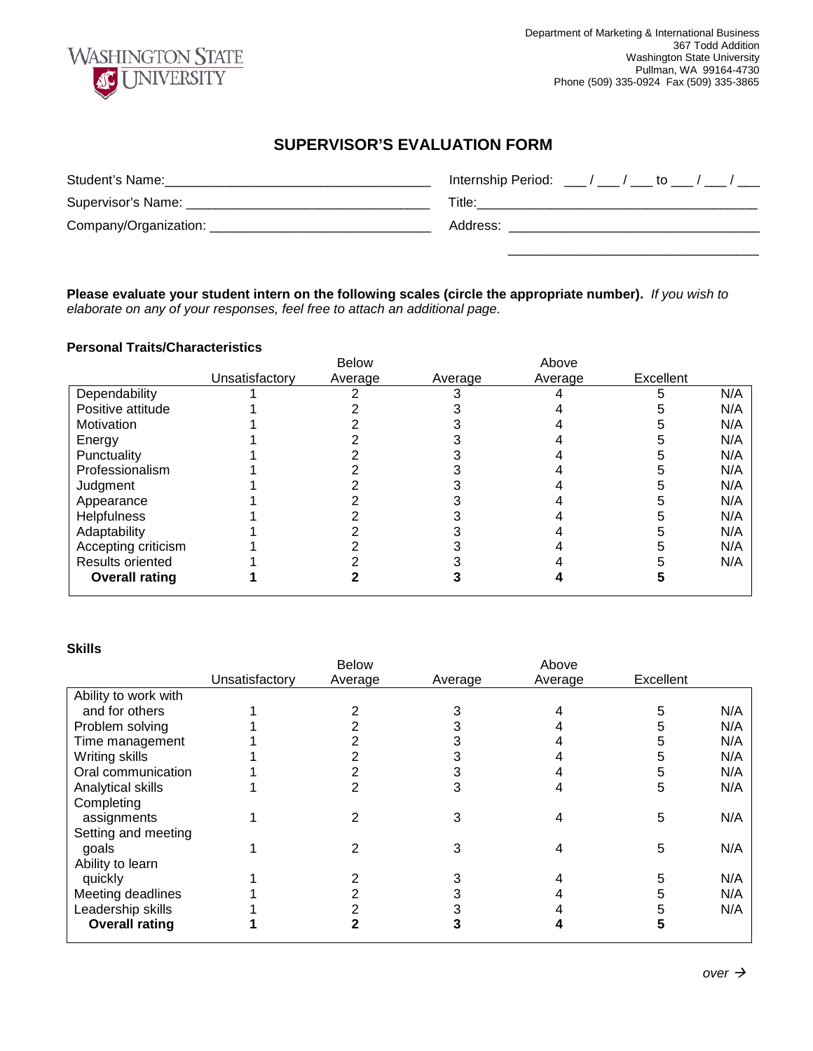

## **SUPERVISOR'S EVALUATION FORM**

| Student's Name:       | Internship Period: $\frac{1}{2}$ / $\frac{1}{2}$ to $\frac{1}{2}$ / $\frac{1}{2}$ |
|-----------------------|-----------------------------------------------------------------------------------|
| Supervisor's Name:    | Title:                                                                            |
| Company/Organization: | Address:                                                                          |
|                       |                                                                                   |

**Please evaluate your student intern on the following scales (circle the appropriate number).** *If you wish to elaborate on any of your responses, feel free to attach an additional page.*

## **Personal Traits/Characteristics**

|                         |                | <b>Below</b> |         | Above   |           |     |
|-------------------------|----------------|--------------|---------|---------|-----------|-----|
|                         | Unsatisfactory | Average      | Average | Average | Excellent |     |
| Dependability           |                |              |         |         |           | N/A |
| Positive attitude       |                |              |         |         |           | N/A |
| Motivation              |                |              |         |         |           | N/A |
| Energy                  |                |              |         |         |           | N/A |
| Punctuality             |                |              |         |         |           | N/A |
| Professionalism         |                |              |         |         |           | N/A |
| Judgment                |                |              |         |         |           | N/A |
| Appearance              |                |              |         |         |           | N/A |
| <b>Helpfulness</b>      |                |              |         |         |           | N/A |
| Adaptability            |                |              |         |         |           | N/A |
| Accepting criticism     |                |              |         |         |           | N/A |
| <b>Results oriented</b> |                |              |         |         |           | N/A |
| <b>Overall rating</b>   |                |              |         |         |           |     |

## **Skills**

|                       | <b>Below</b>   |         |         | Above   |           |     |
|-----------------------|----------------|---------|---------|---------|-----------|-----|
|                       | Unsatisfactory | Average | Average | Average | Excellent |     |
| Ability to work with  |                |         |         |         |           |     |
| and for others        |                |         |         |         | 5         | N/A |
| Problem solving       |                |         |         |         | 5         | N/A |
| Time management       |                |         |         |         | 5         | N/A |
| Writing skills        |                |         |         |         | 5         | N/A |
| Oral communication    |                |         |         |         | 5         | N/A |
| Analytical skills     |                |         | 3       |         | 5         | N/A |
| Completing            |                |         |         |         |           |     |
| assignments           |                |         |         |         | 5         | N/A |
| Setting and meeting   |                |         |         |         |           |     |
| goals                 |                |         | 3       |         | 5         | N/A |
| Ability to learn      |                |         |         |         |           |     |
| quickly               |                |         |         |         | 5         | N/A |
| Meeting deadlines     |                |         |         |         | 5         | N/A |
| Leadership skills     |                |         |         |         |           | N/A |
| <b>Overall rating</b> |                |         |         |         |           |     |
|                       |                |         |         |         |           |     |